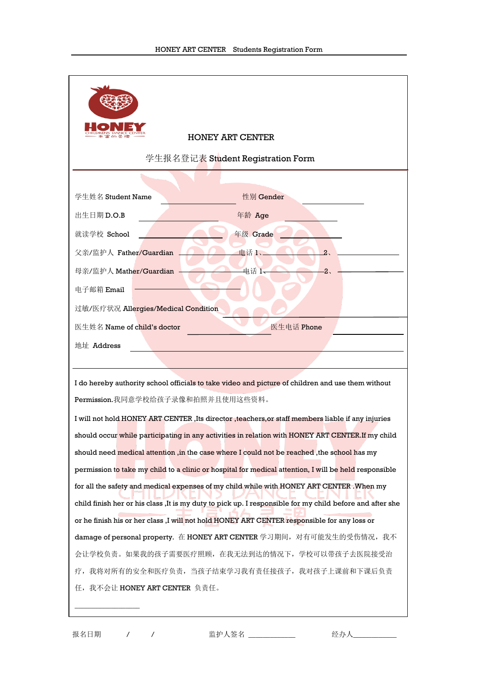| <b>HONEY ART CENTER</b>                                                                                   |  |  |  |  |  |
|-----------------------------------------------------------------------------------------------------------|--|--|--|--|--|
| 学生报名登记表 Student Registration Form                                                                         |  |  |  |  |  |
|                                                                                                           |  |  |  |  |  |
| 学生姓名 Student Name<br>性别 Gender                                                                            |  |  |  |  |  |
| 出生日期D.O.B<br>年龄 Age                                                                                       |  |  |  |  |  |
| 就读学校 School<br>年级 Grade                                                                                   |  |  |  |  |  |
| 父亲/监护人 Father/Guardian<br>电话1<br>2.                                                                       |  |  |  |  |  |
| 母亲/监护人 Mather/Guardian<br>电话 1-<br>$\overline{2}$                                                         |  |  |  |  |  |
| 电子邮箱 Email                                                                                                |  |  |  |  |  |
| 过敏/医疗状况 Allergies/Medical Condition                                                                       |  |  |  |  |  |
| 医生电话 Phone<br>医生姓名 Name of child's doctor                                                                 |  |  |  |  |  |
| 地址 Address                                                                                                |  |  |  |  |  |
|                                                                                                           |  |  |  |  |  |
| I do hereby authority school officials to take video and picture of children and use them without         |  |  |  |  |  |
| Permission.我同意学校给孩子录像和拍照并且使用这些资料。                                                                         |  |  |  |  |  |
| I will not hold HONEY ART CENTER, Its director, teachers, or staff members liable if any injuries         |  |  |  |  |  |
| should occur while participating in any activities in relation with HONEY ART CENTER. If my child         |  |  |  |  |  |
| should need medical attention ,in the case where I could not be reached ,the school has my                |  |  |  |  |  |
| permission to take my child to a clinic or hospital for medical attention, I will be held responsible     |  |  |  |  |  |
| for all the safety and medical expenses of my child while with HONEY ART CENTER . When my                 |  |  |  |  |  |
| child finish her or his class , It is my duty to pick up. I responsible for my child before and after she |  |  |  |  |  |
| or he finish his or her class ,I will not hold HONEY ART CENTER responsible for any loss or               |  |  |  |  |  |
| damage of personal property. 在 HONEY ART CENTER 学习期间, 对有可能发生的受伤情况, 我不                                     |  |  |  |  |  |
| 会让学校负责。如果我的孩子需要医疗照顾,在我无法到达的情况下,学校可以带孩子去医院接受治                                                              |  |  |  |  |  |
| 我将对所有的安全和医疗负责, 当孩子结束学习我有责任接孩子, 我对孩子上课前和下课后负责<br>疗,<br>任, 我不会让 HONEY ART CENTER 负责任。                       |  |  |  |  |  |
|                                                                                                           |  |  |  |  |  |
|                                                                                                           |  |  |  |  |  |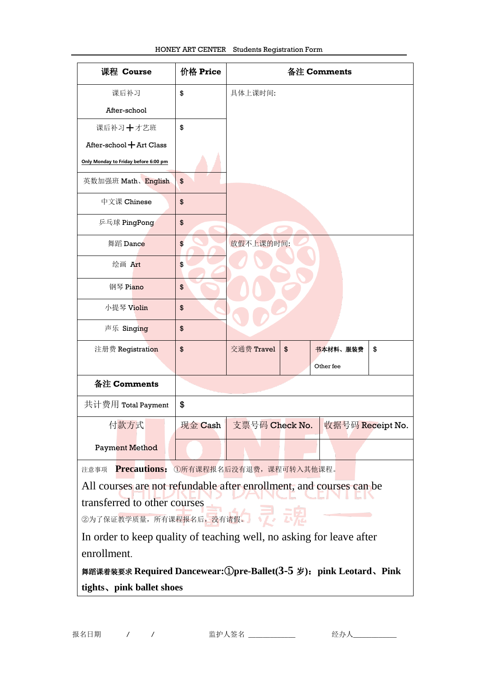| 课程 Course                                                                       | 价格 Price | 备注 Comments |    |                                 |    |
|---------------------------------------------------------------------------------|----------|-------------|----|---------------------------------|----|
| 课后补习                                                                            | \$       | 具体上课时间:     |    |                                 |    |
| After-school                                                                    |          |             |    |                                 |    |
| 课后补习+才艺班                                                                        | \$       |             |    |                                 |    |
| After-school $+$ Art Class                                                      |          |             |    |                                 |    |
| Only Monday to Friday before 6:00 pm                                            |          |             |    |                                 |    |
| 英数加强班 Math、English                                                              | \$       |             |    |                                 |    |
| 中文课 Chinese                                                                     | \$       |             |    |                                 |    |
| 乒乓球 PingPong                                                                    | \$       |             |    |                                 |    |
| 舞蹈 Dance                                                                        | \$       | 放假不上课的时间:   |    |                                 |    |
| 绘画 Art                                                                          | \$       |             |    |                                 |    |
| 钢琴 Piano                                                                        | \$       |             |    |                                 |    |
| 小提琴 Violin                                                                      | \$       |             |    |                                 |    |
| 声乐 Singing                                                                      | \$       |             |    |                                 |    |
| 注册费 Registration                                                                | \$       | 交通费 Travel  | \$ | 书本材料、服装费                        | \$ |
|                                                                                 |          |             |    | Other fee                       |    |
| 备注 Comments                                                                     |          |             |    |                                 |    |
| 共计费用 Total Payment                                                              | \$       |             |    |                                 |    |
| 付款方式                                                                            | 现金 Cash  |             |    | 支票号码 Check No. 收据号码 Receipt No. |    |
| <b>Payment Method</b>                                                           |          |             |    |                                 |    |
| Precautions: 1所有课程报名后没有退费,课程可转入其他课程。<br>注意事项                                    |          |             |    |                                 |    |
| All courses are not refundable after enrollment, and courses can be             |          |             |    |                                 |    |
| transferred to other courses                                                    |          |             |    |                                 |    |
| ②为了保证 <mark>教学质量,所有课程报名后,没有请假。</mark><br>③为了保证 <mark>教学质量,所有课程报名后,没</mark> 有请假。 |          |             |    |                                 |    |
| In order to keep quality of teaching well, no asking for leave after            |          |             |    |                                 |    |
| enrollment.                                                                     |          |             |    |                                 |    |
| 舞蹈课着装要求 Required Dancewear: ①pre-Ballet (3-5 岁): pink Leotard、Pink              |          |             |    |                                 |    |
| tights, pink ballet shoes                                                       |          |             |    |                                 |    |